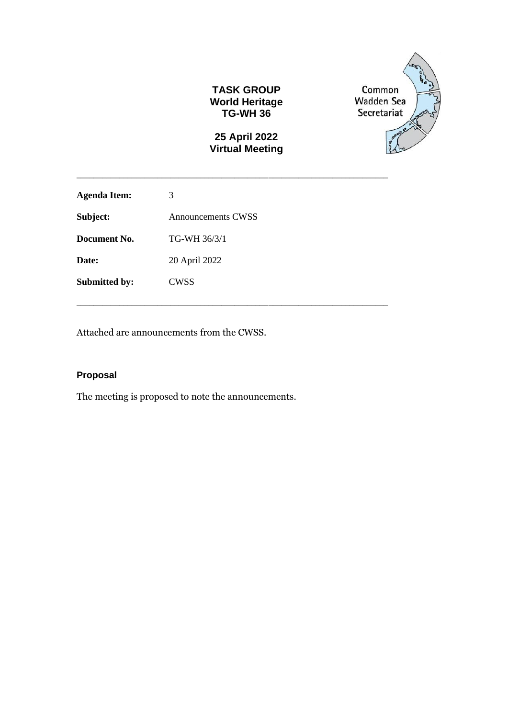#### **TASK GROUP World Heritage TG-WH 36**

## **25 April 2022 Virtual Meeting**

\_\_\_\_\_\_\_\_\_\_\_\_\_\_\_\_\_\_\_\_\_\_\_\_\_\_\_\_\_\_\_\_\_\_\_\_\_\_\_\_\_\_\_\_\_\_\_\_\_\_\_\_\_\_\_\_\_\_\_\_\_\_\_\_\_\_\_\_\_\_\_\_\_

\_\_\_\_\_\_\_\_\_\_\_\_\_\_\_\_\_\_\_\_\_\_\_\_\_\_\_\_\_\_\_\_\_\_\_\_\_\_\_\_\_\_\_\_\_\_\_\_\_\_\_\_\_\_\_\_\_\_\_\_\_\_\_\_\_\_\_\_\_\_\_\_\_



| <b>Agenda Item:</b>  | 3                         |
|----------------------|---------------------------|
| Subject:             | <b>Announcements CWSS</b> |
| Document No.         | TG-WH 36/3/1              |
| Date:                | 20 April 2022             |
| <b>Submitted by:</b> | <b>CWSS</b>               |

Attached are announcements from the CWSS.

## **Proposal**

The meeting is proposed to note the announcements.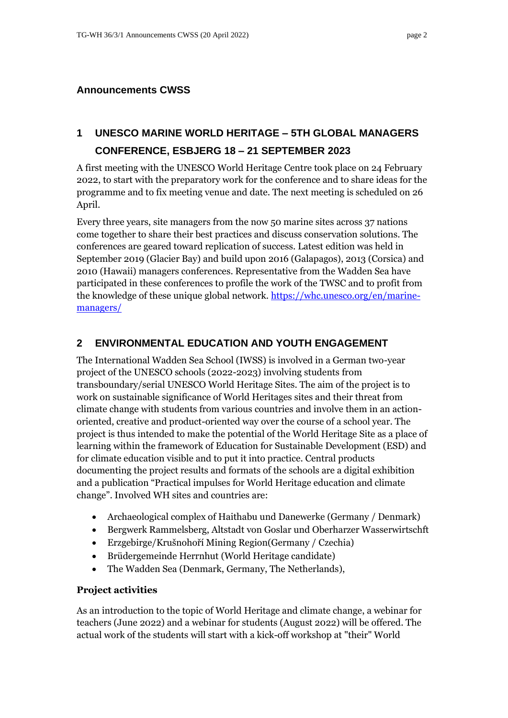#### **Announcements CWSS**

# **1 UNESCO MARINE WORLD HERITAGE – 5TH GLOBAL MANAGERS CONFERENCE, ESBJERG 18 – 21 SEPTEMBER 2023**

A first meeting with the UNESCO World Heritage Centre took place on 24 February 2022, to start with the preparatory work for the conference and to share ideas for the programme and to fix meeting venue and date. The next meeting is scheduled on 26 April.

Every three years, site managers from the now 50 marine sites across 37 nations come together to share their best practices and discuss conservation solutions. The conferences are geared toward replication of success. Latest edition was held in September 2019 (Glacier Bay) and build upon 2016 (Galapagos), 2013 (Corsica) and 2010 (Hawaii) managers conferences. Representative from the Wadden Sea have participated in these conferences to profile the work of the TWSC and to profit from the knowledge of these unique global network. [https://whc.unesco.org/en/marine](https://whc.unesco.org/en/marine-managers/)[managers/](https://whc.unesco.org/en/marine-managers/)

### **2 ENVIRONMENTAL EDUCATION AND YOUTH ENGAGEMENT**

The International Wadden Sea School (IWSS) is involved in a German two-year project of the UNESCO schools (2022-2023) involving students from transboundary/serial UNESCO World Heritage Sites. The aim of the project is to work on sustainable significance of World Heritages sites and their threat from climate change with students from various countries and involve them in an actionoriented, creative and product-oriented way over the course of a school year. The project is thus intended to make the potential of the World Heritage Site as a place of learning within the framework of Education for Sustainable Development (ESD) and for climate education visible and to put it into practice. Central products documenting the project results and formats of the schools are a digital exhibition and a publication "Practical impulses for World Heritage education and climate change". Involved WH sites and countries are:

- Archaeological complex of Haithabu und Danewerke (Germany / Denmark)
- Bergwerk Rammelsberg, Altstadt von Goslar und Oberharzer Wasserwirtschft
- Erzgebirge/Krušnohoří Mining Region(Germany / Czechia)
- Brüdergemeinde Herrnhut (World Heritage candidate)
- The Wadden Sea (Denmark, Germany, The Netherlands),

#### **Project activities**

As an introduction to the topic of World Heritage and climate change, a webinar for teachers (June 2022) and a webinar for students (August 2022) will be offered. The actual work of the students will start with a kick-off workshop at "their" World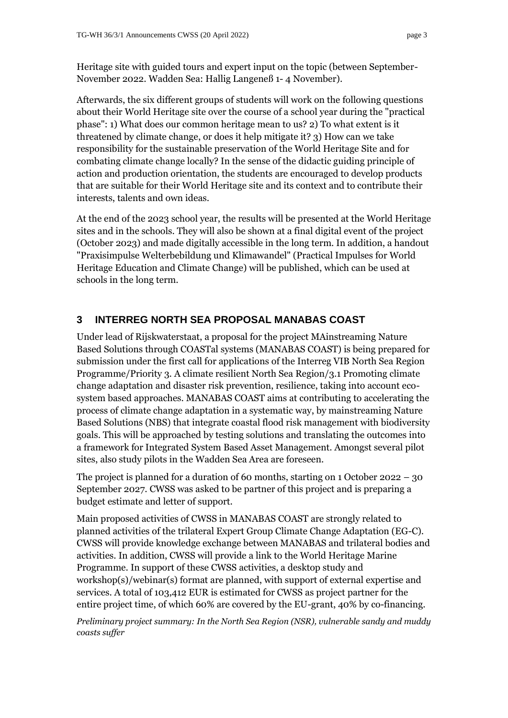Heritage site with guided tours and expert input on the topic (between September-November 2022. Wadden Sea: Hallig Langeneß 1- 4 November).

Afterwards, the six different groups of students will work on the following questions about their World Heritage site over the course of a school year during the "practical phase": 1) What does our common heritage mean to us? 2) To what extent is it threatened by climate change, or does it help mitigate it? 3) How can we take responsibility for the sustainable preservation of the World Heritage Site and for combating climate change locally? In the sense of the didactic guiding principle of action and production orientation, the students are encouraged to develop products that are suitable for their World Heritage site and its context and to contribute their interests, talents and own ideas.

At the end of the 2023 school year, the results will be presented at the World Heritage sites and in the schools. They will also be shown at a final digital event of the project (October 2023) and made digitally accessible in the long term. In addition, a handout "Praxisimpulse Welterbebildung und Klimawandel" (Practical Impulses for World Heritage Education and Climate Change) will be published, which can be used at schools in the long term.

## **3 INTERREG NORTH SEA PROPOSAL MANABAS COAST**

Under lead of Rijskwaterstaat, a proposal for the project MAinstreaming Nature Based Solutions through COASTal systems (MANABAS COAST) is being prepared for submission under the first call for applications of the Interreg VIB North Sea Region Programme/Priority 3. A climate resilient North Sea Region/3.1 Promoting climate change adaptation and disaster risk prevention, resilience, taking into account ecosystem based approaches. MANABAS COAST aims at contributing to accelerating the process of climate change adaptation in a systematic way, by mainstreaming Nature Based Solutions (NBS) that integrate coastal flood risk management with biodiversity goals. This will be approached by testing solutions and translating the outcomes into a framework for Integrated System Based Asset Management. Amongst several pilot sites, also study pilots in the Wadden Sea Area are foreseen.

The project is planned for a duration of 60 months, starting on 1 October 2022 – 30 September 2027. CWSS was asked to be partner of this project and is preparing a budget estimate and letter of support.

Main proposed activities of CWSS in MANABAS COAST are strongly related to planned activities of the trilateral Expert Group Climate Change Adaptation (EG-C). CWSS will provide knowledge exchange between MANABAS and trilateral bodies and activities. In addition, CWSS will provide a link to the World Heritage Marine Programme. In support of these CWSS activities, a desktop study and workshop(s)/webinar(s) format are planned, with support of external expertise and services. A total of 103,412 EUR is estimated for CWSS as project partner for the entire project time, of which 60% are covered by the EU-grant, 40% by co-financing.

*Preliminary project summary: In the North Sea Region (NSR), vulnerable sandy and muddy coasts suffer*